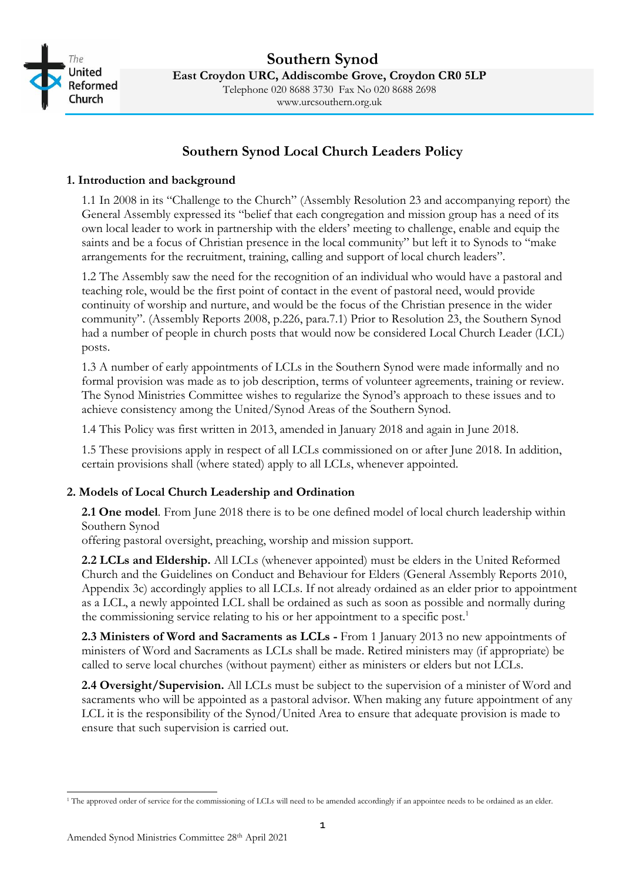

# **Southern Synod Local Church Leaders Policy**

#### **1. Introduction and background**

1.1 In 2008 in its "Challenge to the Church" (Assembly Resolution 23 and accompanying report) the General Assembly expressed its "belief that each congregation and mission group has a need of its own local leader to work in partnership with the elders' meeting to challenge, enable and equip the saints and be a focus of Christian presence in the local community" but left it to Synods to "make arrangements for the recruitment, training, calling and support of local church leaders".

1.2 The Assembly saw the need for the recognition of an individual who would have a pastoral and teaching role, would be the first point of contact in the event of pastoral need, would provide continuity of worship and nurture, and would be the focus of the Christian presence in the wider community". (Assembly Reports 2008, p.226, para.7.1) Prior to Resolution 23, the Southern Synod had a number of people in church posts that would now be considered Local Church Leader (LCL) posts.

1.3 A number of early appointments of LCLs in the Southern Synod were made informally and no formal provision was made as to job description, terms of volunteer agreements, training or review. The Synod Ministries Committee wishes to regularize the Synod's approach to these issues and to achieve consistency among the United/Synod Areas of the Southern Synod.

1.4 This Policy was first written in 2013, amended in January 2018 and again in June 2018.

1.5 These provisions apply in respect of all LCLs commissioned on or after June 2018. In addition, certain provisions shall (where stated) apply to all LCLs, whenever appointed.

## **2. Models of Local Church Leadership and Ordination**

**2.1 One model**. From June 2018 there is to be one defined model of local church leadership within Southern Synod

offering pastoral oversight, preaching, worship and mission support.

**2.2 LCLs and Eldership.** All LCLs (whenever appointed) must be elders in the United Reformed Church and the Guidelines on Conduct and Behaviour for Elders (General Assembly Reports 2010, Appendix 3c) accordingly applies to all LCLs. If not already ordained as an elder prior to appointment as a LCL, a newly appointed LCL shall be ordained as such as soon as possible and normally during the commissioning service relating to his or her appointment to a specific post.<sup>1</sup>

**2.3 Ministers of Word and Sacraments as LCLs -** From 1 January 2013 no new appointments of ministers of Word and Sacraments as LCLs shall be made. Retired ministers may (if appropriate) be called to serve local churches (without payment) either as ministers or elders but not LCLs.

**2.4 Oversight/Supervision.** All LCLs must be subject to the supervision of a minister of Word and sacraments who will be appointed as a pastoral advisor. When making any future appointment of any LCL it is the responsibility of the Synod/United Area to ensure that adequate provision is made to ensure that such supervision is carried out.

<sup>&</sup>lt;sup>1</sup> The approved order of service for the commissioning of LCLs will need to be amended accordingly if an appointee needs to be ordained as an elder.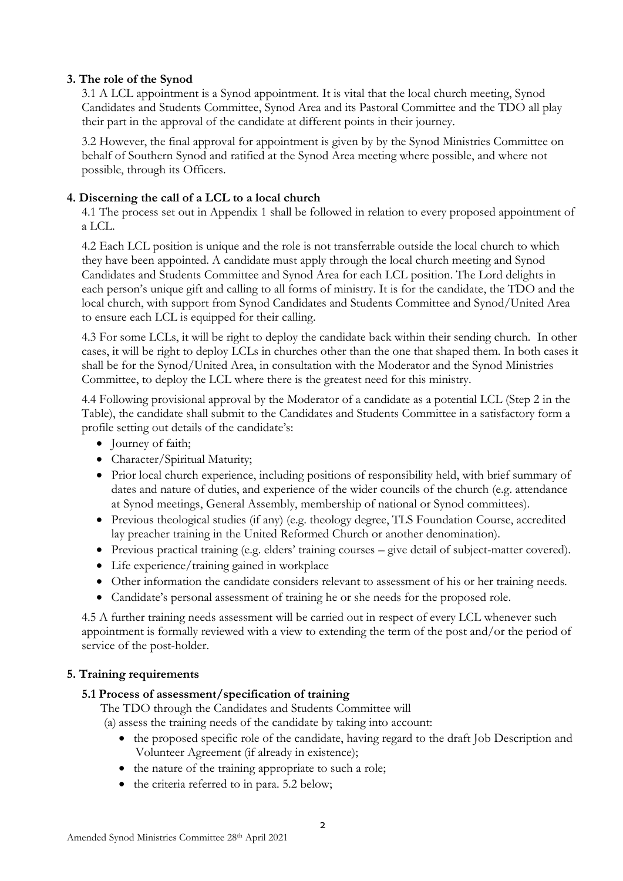## **3. The role of the Synod**

3.1 A LCL appointment is a Synod appointment. It is vital that the local church meeting, Synod Candidates and Students Committee, Synod Area and its Pastoral Committee and the TDO all play their part in the approval of the candidate at different points in their journey.

3.2 However, the final approval for appointment is given by by the Synod Ministries Committee on behalf of Southern Synod and ratified at the Synod Area meeting where possible, and where not possible, through its Officers.

#### **4. Discerning the call of a LCL to a local church**

4.1 The process set out in Appendix 1 shall be followed in relation to every proposed appointment of a LCL.

4.2 Each LCL position is unique and the role is not transferrable outside the local church to which they have been appointed. A candidate must apply through the local church meeting and Synod Candidates and Students Committee and Synod Area for each LCL position. The Lord delights in each person's unique gift and calling to all forms of ministry. It is for the candidate, the TDO and the local church, with support from Synod Candidates and Students Committee and Synod/United Area to ensure each LCL is equipped for their calling.

4.3 For some LCLs, it will be right to deploy the candidate back within their sending church. In other cases, it will be right to deploy LCLs in churches other than the one that shaped them. In both cases it shall be for the Synod/United Area, in consultation with the Moderator and the Synod Ministries Committee, to deploy the LCL where there is the greatest need for this ministry.

4.4 Following provisional approval by the Moderator of a candidate as a potential LCL (Step 2 in the Table), the candidate shall submit to the Candidates and Students Committee in a satisfactory form a profile setting out details of the candidate's:

- Journey of faith;
- Character/Spiritual Maturity;
- Prior local church experience, including positions of responsibility held, with brief summary of dates and nature of duties, and experience of the wider councils of the church (e.g. attendance at Synod meetings, General Assembly, membership of national or Synod committees).
- Previous theological studies (if any) (e.g. theology degree, TLS Foundation Course, accredited lay preacher training in the United Reformed Church or another denomination).
- Previous practical training (e.g. elders' training courses give detail of subject-matter covered).
- Life experience/training gained in workplace
- Other information the candidate considers relevant to assessment of his or her training needs.
- Candidate's personal assessment of training he or she needs for the proposed role.

4.5 A further training needs assessment will be carried out in respect of every LCL whenever such appointment is formally reviewed with a view to extending the term of the post and/or the period of service of the post-holder.

#### **5. Training requirements**

#### **5.1 Process of assessment/specification of training**

The TDO through the Candidates and Students Committee will

(a) assess the training needs of the candidate by taking into account:

- the proposed specific role of the candidate, having regard to the draft Job Description and Volunteer Agreement (if already in existence);
- the nature of the training appropriate to such a role;
- the criteria referred to in para. 5.2 below;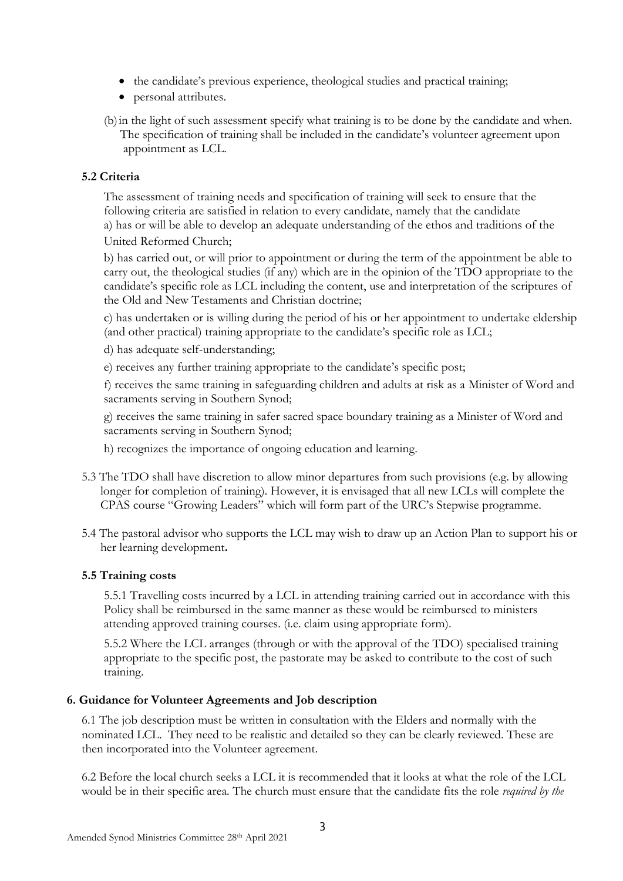- the candidate's previous experience, theological studies and practical training;
- personal attributes.
- (b)in the light of such assessment specify what training is to be done by the candidate and when. The specification of training shall be included in the candidate's volunteer agreement upon appointment as LCL.

## **5.2 Criteria**

The assessment of training needs and specification of training will seek to ensure that the following criteria are satisfied in relation to every candidate, namely that the candidate a) has or will be able to develop an adequate understanding of the ethos and traditions of the United Reformed Church;

b) has carried out, or will prior to appointment or during the term of the appointment be able to carry out, the theological studies (if any) which are in the opinion of the TDO appropriate to the candidate's specific role as LCL including the content, use and interpretation of the scriptures of the Old and New Testaments and Christian doctrine;

c) has undertaken or is willing during the period of his or her appointment to undertake eldership (and other practical) training appropriate to the candidate's specific role as LCL;

d) has adequate self-understanding;

e) receives any further training appropriate to the candidate's specific post;

f) receives the same training in safeguarding children and adults at risk as a Minister of Word and sacraments serving in Southern Synod;

g) receives the same training in safer sacred space boundary training as a Minister of Word and sacraments serving in Southern Synod;

- h) recognizes the importance of ongoing education and learning.
- 5.3 The TDO shall have discretion to allow minor departures from such provisions (e.g. by allowing longer for completion of training). However, it is envisaged that all new LCLs will complete the CPAS course "Growing Leaders" which will form part of the URC's Stepwise programme.
- 5.4 The pastoral advisor who supports the LCL may wish to draw up an Action Plan to support his or her learning development**.**

## **5.5 Training costs**

5.5.1 Travelling costs incurred by a LCL in attending training carried out in accordance with this Policy shall be reimbursed in the same manner as these would be reimbursed to ministers attending approved training courses. (i.e. claim using appropriate form).

5.5.2 Where the LCL arranges (through or with the approval of the TDO) specialised training appropriate to the specific post, the pastorate may be asked to contribute to the cost of such training.

## **6. Guidance for Volunteer Agreements and Job description**

6.1 The job description must be written in consultation with the Elders and normally with the nominated LCL. They need to be realistic and detailed so they can be clearly reviewed. These are then incorporated into the Volunteer agreement.

6.2 Before the local church seeks a LCL it is recommended that it looks at what the role of the LCL would be in their specific area. The church must ensure that the candidate fits the role *required by the*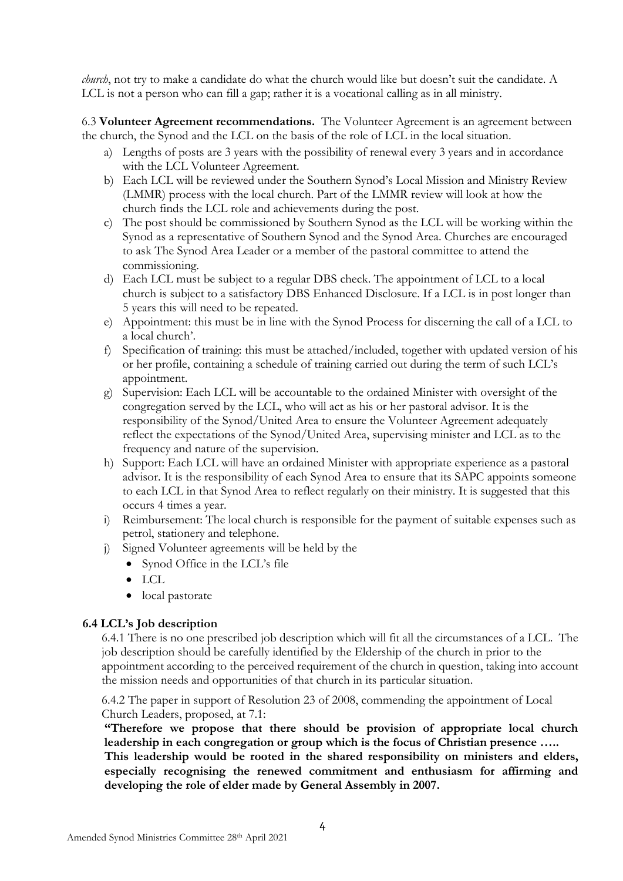*church*, not try to make a candidate do what the church would like but doesn't suit the candidate. A LCL is not a person who can fill a gap; rather it is a vocational calling as in all ministry.

6.3 **Volunteer Agreement recommendations.** The Volunteer Agreement is an agreement between the church, the Synod and the LCL on the basis of the role of LCL in the local situation.

- a) Lengths of posts are 3 years with the possibility of renewal every 3 years and in accordance with the LCL Volunteer Agreement.
- b) Each LCL will be reviewed under the Southern Synod's Local Mission and Ministry Review (LMMR) process with the local church. Part of the LMMR review will look at how the church finds the LCL role and achievements during the post.
- c) The post should be commissioned by Southern Synod as the LCL will be working within the Synod as a representative of Southern Synod and the Synod Area. Churches are encouraged to ask The Synod Area Leader or a member of the pastoral committee to attend the commissioning.
- d) Each LCL must be subject to a regular DBS check. The appointment of LCL to a local church is subject to a satisfactory DBS Enhanced Disclosure. If a LCL is in post longer than 5 years this will need to be repeated.
- e) Appointment: this must be in line with the Synod Process for discerning the call of a LCL to a local church'.
- f) Specification of training: this must be attached/included, together with updated version of his or her profile, containing a schedule of training carried out during the term of such LCL's appointment.
- g) Supervision: Each LCL will be accountable to the ordained Minister with oversight of the congregation served by the LCL, who will act as his or her pastoral advisor. It is the responsibility of the Synod/United Area to ensure the Volunteer Agreement adequately reflect the expectations of the Synod/United Area, supervising minister and LCL as to the frequency and nature of the supervision.
- h) Support: Each LCL will have an ordained Minister with appropriate experience as a pastoral advisor. It is the responsibility of each Synod Area to ensure that its SAPC appoints someone to each LCL in that Synod Area to reflect regularly on their ministry. It is suggested that this occurs 4 times a year.
- i) Reimbursement: The local church is responsible for the payment of suitable expenses such as petrol, stationery and telephone.
- j) Signed Volunteer agreements will be held by the
	- Synod Office in the LCL's file
	- LCL
	- local pastorate

#### **6.4 LCL's Job description**

 6.4.1 There is no one prescribed job description which will fit all the circumstances of a LCL. The job description should be carefully identified by the Eldership of the church in prior to the appointment according to the perceived requirement of the church in question, taking into account the mission needs and opportunities of that church in its particular situation.

 6.4.2 The paper in support of Resolution 23 of 2008, commending the appointment of Local Church Leaders, proposed, at 7.1:

**"Therefore we propose that there should be provision of appropriate local church leadership in each congregation or group which is the focus of Christian presence …..**

**This leadership would be rooted in the shared responsibility on ministers and elders, especially recognising the renewed commitment and enthusiasm for affirming and developing the role of elder made by General Assembly in 2007.**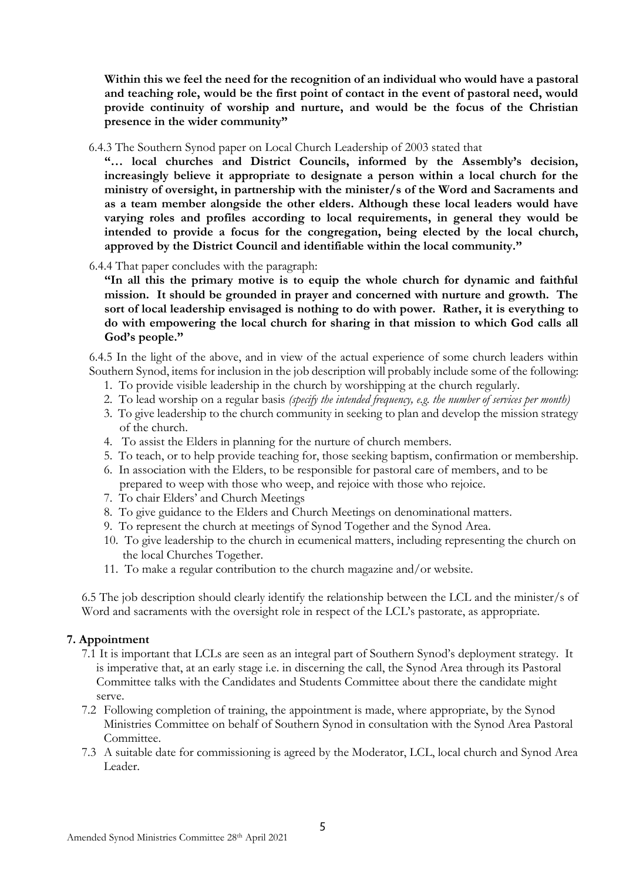**Within this we feel the need for the recognition of an individual who would have a pastoral and teaching role, would be the first point of contact in the event of pastoral need, would provide continuity of worship and nurture, and would be the focus of the Christian presence in the wider community"**

6.4.3 The Southern Synod paper on Local Church Leadership of 2003 stated that

**"… local churches and District Councils, informed by the Assembly's decision, increasingly believe it appropriate to designate a person within a local church for the ministry of oversight, in partnership with the minister/s of the Word and Sacraments and as a team member alongside the other elders. Although these local leaders would have varying roles and profiles according to local requirements, in general they would be intended to provide a focus for the congregation, being elected by the local church, approved by the District Council and identifiable within the local community."**

6.4.4 That paper concludes with the paragraph:

**"In all this the primary motive is to equip the whole church for dynamic and faithful mission. It should be grounded in prayer and concerned with nurture and growth. The sort of local leadership envisaged is nothing to do with power. Rather, it is everything to do with empowering the local church for sharing in that mission to which God calls all God's people."**

6.4.5 In the light of the above, and in view of the actual experience of some church leaders within Southern Synod, items for inclusion in the job description will probably include some of the following:

- 1. To provide visible leadership in the church by worshipping at the church regularly.
- 2. To lead worship on a regular basis *(specify the intended frequency, e.g. the number of services per month)*
- 3. To give leadership to the church community in seeking to plan and develop the mission strategy of the church.
- 4. To assist the Elders in planning for the nurture of church members.
- 5. To teach, or to help provide teaching for, those seeking baptism, confirmation or membership.
- 6. In association with the Elders, to be responsible for pastoral care of members, and to be prepared to weep with those who weep, and rejoice with those who rejoice.
- 7. To chair Elders' and Church Meetings
- 8. To give guidance to the Elders and Church Meetings on denominational matters.
- 9. To represent the church at meetings of Synod Together and the Synod Area.
- 10. To give leadership to the church in ecumenical matters, including representing the church on the local Churches Together.
- 11. To make a regular contribution to the church magazine and/or website.

6.5 The job description should clearly identify the relationship between the LCL and the minister/s of Word and sacraments with the oversight role in respect of the LCL's pastorate, as appropriate.

## **7. Appointment**

- 7.1 It is important that LCLs are seen as an integral part of Southern Synod's deployment strategy. It is imperative that, at an early stage i.e. in discerning the call, the Synod Area through its Pastoral Committee talks with the Candidates and Students Committee about there the candidate might serve.
- 7.2 Following completion of training, the appointment is made, where appropriate, by the Synod Ministries Committee on behalf of Southern Synod in consultation with the Synod Area Pastoral Committee.
- 7.3 A suitable date for commissioning is agreed by the Moderator, LCL, local church and Synod Area Leader.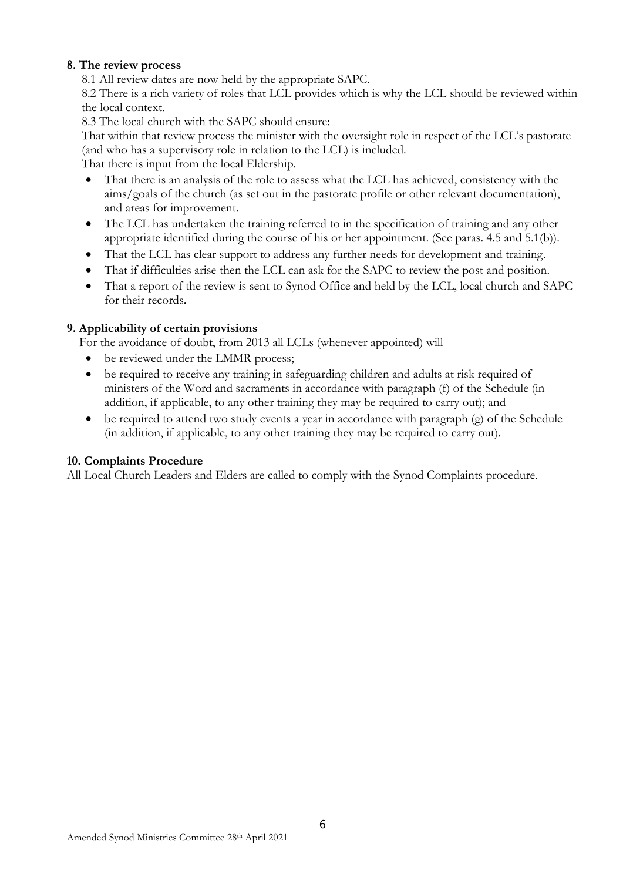#### **8. The review process**

8.1 All review dates are now held by the appropriate SAPC.

8.2 There is a rich variety of roles that LCL provides which is why the LCL should be reviewed within the local context.

8.3 The local church with the SAPC should ensure:

That within that review process the minister with the oversight role in respect of the LCL's pastorate (and who has a supervisory role in relation to the LCL) is included.

That there is input from the local Eldership.

- That there is an analysis of the role to assess what the LCL has achieved, consistency with the aims/goals of the church (as set out in the pastorate profile or other relevant documentation), and areas for improvement.
- The LCL has undertaken the training referred to in the specification of training and any other appropriate identified during the course of his or her appointment. (See paras. 4.5 and 5.1(b)).
- That the LCL has clear support to address any further needs for development and training.
- That if difficulties arise then the LCL can ask for the SAPC to review the post and position.
- That a report of the review is sent to Synod Office and held by the LCL, local church and SAPC for their records.

## **9. Applicability of certain provisions**

For the avoidance of doubt, from 2013 all LCLs (whenever appointed) will

- be reviewed under the LMMR process;
- be required to receive any training in safeguarding children and adults at risk required of ministers of the Word and sacraments in accordance with paragraph (f) of the Schedule (in addition, if applicable, to any other training they may be required to carry out); and
- be required to attend two study events a year in accordance with paragraph  $(e)$  of the Schedule (in addition, if applicable, to any other training they may be required to carry out).

#### **10. Complaints Procedure**

All Local Church Leaders and Elders are called to comply with the Synod Complaints procedure.